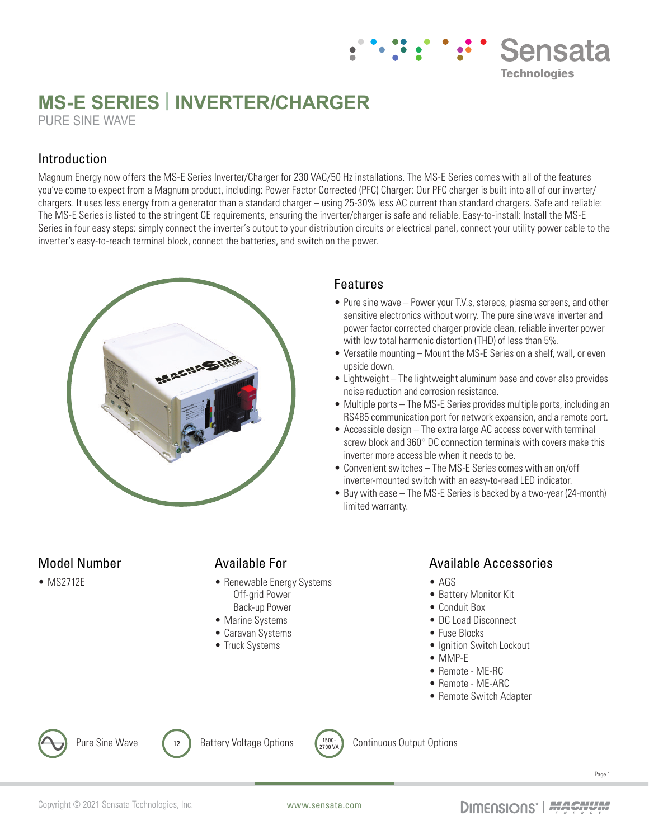# **MS-E SERIES | INVERTER/CHARGER** PURE SINE WAVE

### Introduction

Magnum Energy now offers the MS-E Series Inverter/Charger for 230 VAC/50 Hz installations. The MS-E Series comes with all of the features you've come to expect from a Magnum product, including: Power Factor Corrected (PFC) Charger: Our PFC charger is built into all of our inverter/ chargers. It uses less energy from a generator than a standard charger – using 25-30% less AC current than standard chargers. Safe and reliable: The MS-E Series is listed to the stringent CE requirements, ensuring the inverter/charger is safe and reliable. Easy-to-install: Install the MS-E Series in four easy steps: simply connect the inverter's output to your distribution circuits or electrical panel, connect your utility power cable to the inverter's easy-to-reach terminal block, connect the batteries, and switch on the power.



## Features

• Pure sine wave – Power your T.V.s, stereos, plasma screens, and other sensitive electronics without worry. The pure sine wave inverter and power factor corrected charger provide clean, reliable inverter power with low total harmonic distortion (THD) of less than 5%.

**Sensata** 

**Technologies** 

- Versatile mounting Mount the MS-E Series on a shelf, wall, or even upside down.
- Lightweight The lightweight aluminum base and cover also provides noise reduction and corrosion resistance.
- Multiple ports The MS-E Series provides multiple ports, including an RS485 communication port for network expansion, and a remote port.
- Accessible design The extra large AC access cover with terminal screw block and 360° DC connection terminals with covers make this inverter more accessible when it needs to be.
- Convenient switches The MS-E Series comes with an on/off inverter-mounted switch with an easy-to-read LED indicator.
- Buy with ease The MS-E Series is backed by a two-year (24-month) limited warranty.

## Model Number

• MS2712E

### Available For

- Renewable Energy Systems Off-grid Power Back-up Power
- Marine Systems
- Caravan Systems
- Truck Systems

#### Available Accessories

- AGS
- Battery Monitor Kit
- Conduit Box
- DC Load Disconnect
- Fuse Blocks
- Ignition Switch Lockout
- MMP-E
- Remote ME-RC
- Remote ME-ARC
- Remote Switch Adapter





Continuous Output Options



Page 1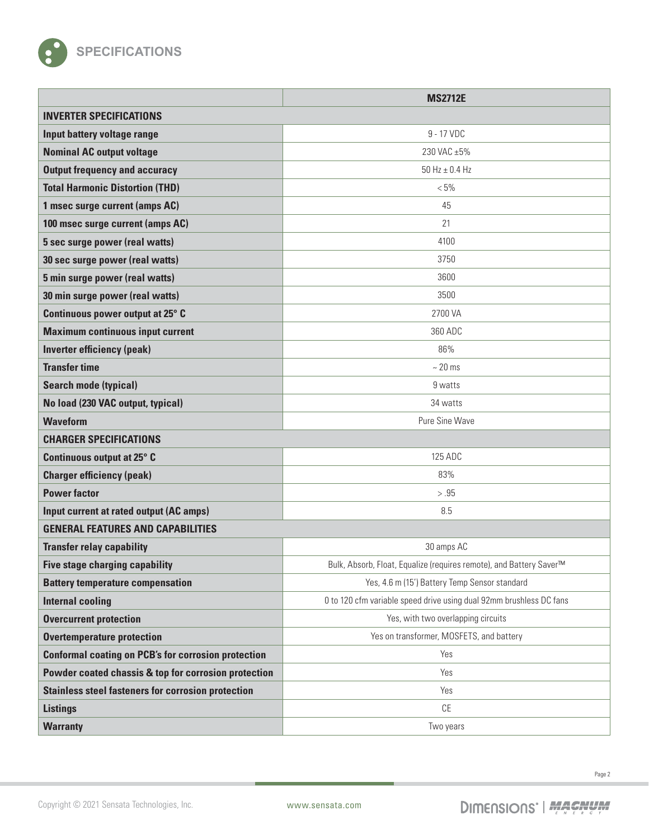

|                                                            | <b>MS2712E</b>                                                      |
|------------------------------------------------------------|---------------------------------------------------------------------|
| <b>INVERTER SPECIFICATIONS</b>                             |                                                                     |
| Input battery voltage range                                | 9 - 17 VDC                                                          |
| <b>Nominal AC output voltage</b>                           | 230 VAC ±5%                                                         |
| <b>Output frequency and accuracy</b>                       | $50$ Hz $\pm$ 0.4 Hz                                                |
| <b>Total Harmonic Distortion (THD)</b>                     | $< 5\%$                                                             |
| 1 msec surge current (amps AC)                             | 45                                                                  |
| 100 msec surge current (amps AC)                           | 21                                                                  |
| 5 sec surge power (real watts)                             | 4100                                                                |
| 30 sec surge power (real watts)                            | 3750                                                                |
| 5 min surge power (real watts)                             | 3600                                                                |
| 30 min surge power (real watts)                            | 3500                                                                |
| Continuous power output at 25° C                           | 2700 VA                                                             |
| <b>Maximum continuous input current</b>                    | 360 ADC                                                             |
| <b>Inverter efficiency (peak)</b>                          | 86%                                                                 |
| <b>Transfer time</b>                                       | $~20$ ms                                                            |
| <b>Search mode (typical)</b>                               | 9 watts                                                             |
| No load (230 VAC output, typical)                          | 34 watts                                                            |
| <b>Waveform</b>                                            | Pure Sine Wave                                                      |
| <b>CHARGER SPECIFICATIONS</b>                              |                                                                     |
| Continuous output at 25° C                                 | 125 ADC                                                             |
| <b>Charger efficiency (peak)</b>                           | 83%                                                                 |
| <b>Power factor</b>                                        | $> .95$                                                             |
| Input current at rated output (AC amps)                    | 8.5                                                                 |
| <b>GENERAL FEATURES AND CAPABILITIES</b>                   |                                                                     |
| <b>Transfer relay capability</b>                           | 30 amps AC                                                          |
| <b>Five stage charging capability</b>                      | Bulk, Absorb, Float, Equalize (requires remote), and Battery Saver™ |
| <b>Battery temperature compensation</b>                    | Yes, 4.6 m (15') Battery Temp Sensor standard                       |
| <b>Internal cooling</b>                                    | 0 to 120 cfm variable speed drive using dual 92mm brushless DC fans |
| <b>Overcurrent protection</b>                              | Yes, with two overlapping circuits                                  |
| <b>Overtemperature protection</b>                          | Yes on transformer, MOSFETS, and battery                            |
| <b>Conformal coating on PCB's for corrosion protection</b> | Yes                                                                 |
| Powder coated chassis & top for corrosion protection       | Yes                                                                 |
| <b>Stainless steel fasteners for corrosion protection</b>  | Yes                                                                 |
| <b>Listings</b>                                            | CE                                                                  |
| <b>Warranty</b>                                            | Two years                                                           |